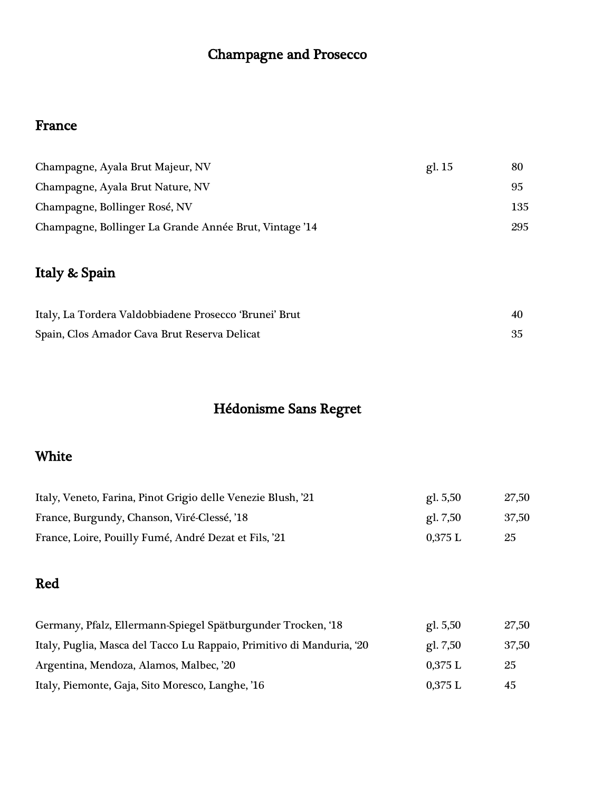# Champagne and Prosecco

## France

| Champagne, Ayala Brut Majeur, NV                       | gl. 15 | 80  |
|--------------------------------------------------------|--------|-----|
| Champagne, Ayala Brut Nature, NV                       |        | 95  |
| Champagne, Bollinger Rosé, NV                          |        | 135 |
| Champagne, Bollinger La Grande Année Brut, Vintage '14 |        | 295 |

# Italy & Spain

| Italy, La Tordera Valdobbiadene Prosecco 'Brunei' Brut | 40 |
|--------------------------------------------------------|----|
| Spain, Clos Amador Cava Brut Reserva Delicat           |    |

# Hédonisme Sans Regret

## White

| Italy, Veneto, Farina, Pinot Grigio delle Venezie Blush, '21 | gl. $5,50$ | 27,50 |
|--------------------------------------------------------------|------------|-------|
| France, Burgundy, Chanson, Viré-Clessé, '18                  | gl. $7,50$ | 37,50 |
| France, Loire, Pouilly Fumé, André Dezat et Fils, '21        | $0.375$ L  | 25    |

## Red

| Germany, Pfalz, Ellermann-Spiegel Spätburgunder Trocken, '18          | gl. 5,50  | 27,50 |
|-----------------------------------------------------------------------|-----------|-------|
| Italy, Puglia, Masca del Tacco Lu Rappaio, Primitivo di Manduria, '20 | gl. 7,50  | 37,50 |
| Argentina, Mendoza, Alamos, Malbec, '20                               | 0.375 L   | 25    |
| Italy, Piemonte, Gaja, Sito Moresco, Langhe, '16                      | $0,375$ L | 45    |